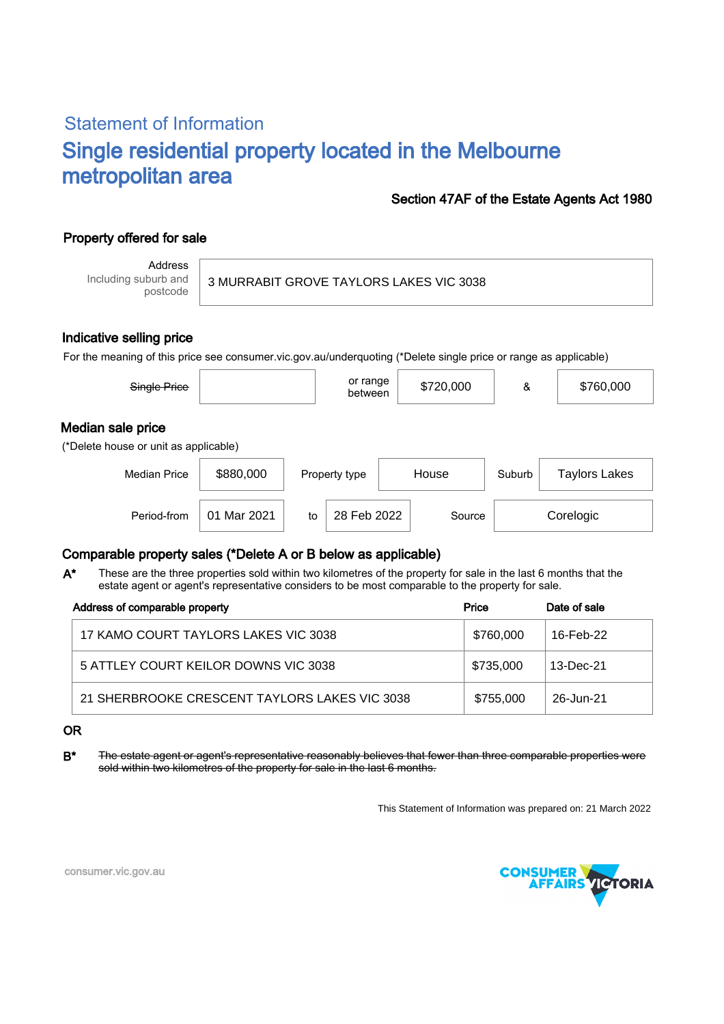# Statement of Information Single residential property located in the Melbourne metropolitan area

### Section 47AF of the Estate Agents Act 1980

## Property offered for sale

Address Including suburb and postcode

3 MURRABIT GROVE TAYLORS LAKES VIC 3038

#### Indicative selling price

For the meaning of this price see consumer.vic.gov.au/underquoting (\*Delete single price or range as applicable)

| Single Price                                               |             |    | or range<br>between |        | \$720,000 | &         | \$760,000            |  |
|------------------------------------------------------------|-------------|----|---------------------|--------|-----------|-----------|----------------------|--|
| Median sale price<br>(*Delete house or unit as applicable) |             |    |                     |        |           |           |                      |  |
| <b>Median Price</b>                                        | \$880,000   |    | Property type       | House  |           | Suburb    | <b>Taylors Lakes</b> |  |
| Period-from                                                | 01 Mar 2021 | to | 28 Feb 2022         | Source |           | Corelogic |                      |  |

### Comparable property sales (\*Delete A or B below as applicable)

These are the three properties sold within two kilometres of the property for sale in the last 6 months that the estate agent or agent's representative considers to be most comparable to the property for sale. A\*

| Address of comparable property                | Price     | Date of sale |
|-----------------------------------------------|-----------|--------------|
| 17 KAMO COURT TAYLORS LAKES VIC 3038          | \$760,000 | 16-Feb-22    |
| 5 ATTLEY COURT KEILOR DOWNS VIC 3038          | \$735,000 | 13-Dec-21    |
| 21 SHERBROOKE CRESCENT TAYLORS LAKES VIC 3038 | \$755,000 | 26-Jun-21    |

#### OR

B<sup>\*</sup> The estate agent or agent's representative reasonably believes that fewer than three comparable properties were sold within two kilometres of the property for sale in the last 6 months.

This Statement of Information was prepared on: 21 March 2022



consumer.vic.gov.au